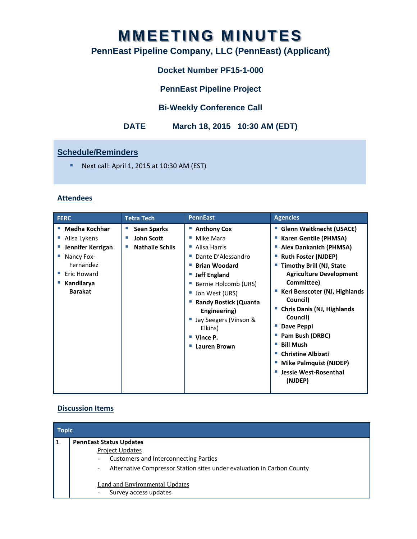# **MMEETING MINUTES**

## **PennEast Pipeline Company, LLC (PennEast) (Applicant)**

## **Docket Number PF15-1-000**

**PennEast Pipeline Project** 

## **Bi-Weekly Conference Call**

## **DATE March 18, 2015 10:30 AM (EDT)**

### **Schedule/Reminders**

Next call: April 1, 2015 at  $10:30$  AM (EST)

#### **Attendees**

| <b>FERC</b>                                                                                                                         | <b>Tetra Tech</b>                                                            | <b>PennEast</b>                                                                                                                                                                                                                                                                                   | <b>Agencies</b>                                                                                                                                                                                                                                                                                                                                                                                                                                                               |
|-------------------------------------------------------------------------------------------------------------------------------------|------------------------------------------------------------------------------|---------------------------------------------------------------------------------------------------------------------------------------------------------------------------------------------------------------------------------------------------------------------------------------------------|-------------------------------------------------------------------------------------------------------------------------------------------------------------------------------------------------------------------------------------------------------------------------------------------------------------------------------------------------------------------------------------------------------------------------------------------------------------------------------|
| <b>Medha Kochhar</b><br>Alisa Lykens<br>Jennifer Kerrigan<br>Nancy Fox-<br>Fernandez<br>Eric Howard<br>Kandilarya<br><b>Barakat</b> | <b>Sean Sparks</b><br>×.<br><b>John Scott</b><br>п<br><b>Nathalie Schils</b> | ■ Anthony Cox<br>Mike Mara<br>ш<br>■ Alisa Harris<br>Dante D'Alessandro<br>ш<br><b>Brian Woodard</b><br><b>Jeff England</b><br>Bernie Holcomb (URS)<br>Jon West (URS)<br><b>Randy Bostick (Quanta</b><br>Engineering)<br>Jay Seegers (Vinson &<br>Elkins)<br>Vince P.<br>ш<br><b>Lauren Brown</b> | <b>Glenn Weitknecht (USACE)</b><br><b>Karen Gentile (PHMSA)</b><br><b>Alex Dankanich (PHMSA)</b><br><b>Ruth Foster (NJDEP)</b><br><b>Timothy Brill (NJ, State</b><br><b>Agriculture Development</b><br>Committee)<br>Keri Benscoter (NJ, Highlands<br>Council)<br><b>Chris Danis (NJ, Highlands</b><br>Council)<br>Dave Peppi<br>Pam Bush (DRBC)<br><b>Bill Mush</b><br><b>Christine Albizati</b><br><b>Mike Palmquist (NJDEP)</b><br><b>Jessie West-Rosenthal</b><br>(NJDEP) |

#### **Discussion Items**

| <b>Topic</b> |                                                                                                                                                                                                                                                                                  |  |  |  |
|--------------|----------------------------------------------------------------------------------------------------------------------------------------------------------------------------------------------------------------------------------------------------------------------------------|--|--|--|
| l 1.         | <b>PennEast Status Updates</b><br><b>Project Updates</b><br><b>Customers and Interconnecting Parties</b><br>Alternative Compressor Station sites under evaluation in Carbon County<br>$\overline{\phantom{a}}$<br><b>Land and Environmental Updates</b><br>Survey access updates |  |  |  |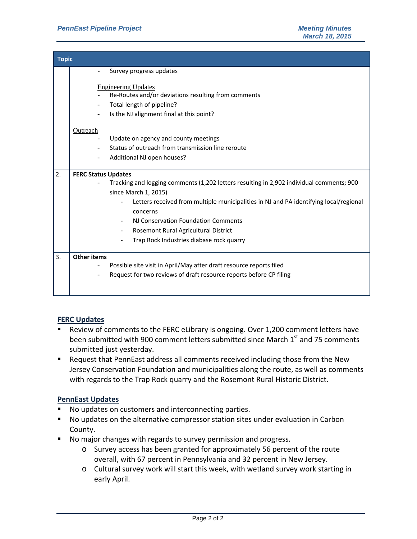| <b>Topic</b> |                                                                                                                                                                                                                                                                                                                                                                                |  |  |  |
|--------------|--------------------------------------------------------------------------------------------------------------------------------------------------------------------------------------------------------------------------------------------------------------------------------------------------------------------------------------------------------------------------------|--|--|--|
|              | Survey progress updates                                                                                                                                                                                                                                                                                                                                                        |  |  |  |
|              | <b>Engineering Updates</b><br>Re-Routes and/or deviations resulting from comments<br>Total length of pipeline?<br>Is the NJ alignment final at this point?<br><b>Outreach</b><br>Update on agency and county meetings<br>Status of outreach from transmission line reroute<br>Additional NJ open houses?                                                                       |  |  |  |
|              |                                                                                                                                                                                                                                                                                                                                                                                |  |  |  |
| 2.           | <b>FERC Status Updates</b><br>Tracking and logging comments (1,202 letters resulting in 2,902 individual comments; 900<br>since March 1, 2015)<br>Letters received from multiple municipalities in NJ and PA identifying local/regional<br>concerns<br>NJ Conservation Foundation Comments<br>Rosemont Rural Agricultural District<br>Trap Rock Industries diabase rock quarry |  |  |  |
| 3.           | <b>Other items</b><br>Possible site visit in April/May after draft resource reports filed<br>Request for two reviews of draft resource reports before CP filing                                                                                                                                                                                                                |  |  |  |

#### **FERC Updates**

- Review of comments to the FERC eLibrary is ongoing. Over 1,200 comment letters have been submitted with 900 comment letters submitted since March 1<sup>st</sup> and 75 comments submitted just yesterday.
- Request that PennEast address all comments received including those from the New Jersey Conservation Foundation and municipalities along the route, as well as comments with regards to the Trap Rock quarry and the Rosemont Rural Historic District.

#### **PennEast Updates**

- No updates on customers and interconnecting parties.
- No updates on the alternative compressor station sites under evaluation in Carbon County.
- No major changes with regards to survey permission and progress.
	- o Survey access has been granted for approximately 56 percent of the route overall, with 67 percent in Pennsylvania and 32 percent in New Jersey.
	- o Cultural survey work will start this week, with wetland survey work starting in early April.